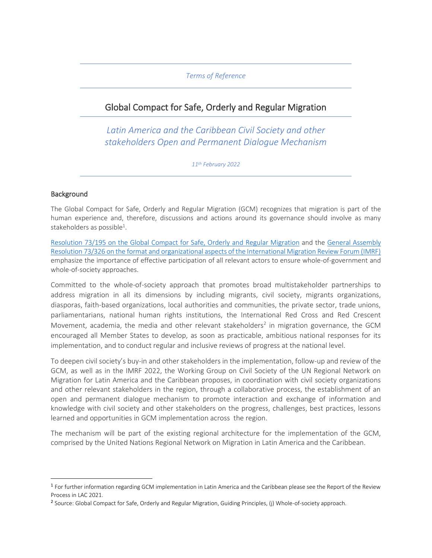## *Terms of Reference*

# Global Compact for Safe, Orderly and Regular Migration

*Latin America and the Caribbean Civil Society and other stakeholders Open and Permanent Dialogue Mechanism* 

*11th February 2022* 

## Background

The Global Compact for Safe, Orderly and Regular Migration (GCM) recognizes that migration is part of the human experience and, therefore, discussions and actions around its governance should involve as many stakeholders as possible<sup>1</sup>.

[Resolution 73/195 on the Global Compact for Safe, Orderly and Regular Migration](https://undocs.org/en/A/RES/73/195) and the [General Assembly](https://undocs.org/en/A/RES/73/326)  [Resolution 73/326 on the format and organizational aspects of the International Migration Review Forum \(IMRF\)](https://undocs.org/en/A/RES/73/326) emphasize the importance of effective participation of all relevant actors to ensure whole-of-government and whole-of-society approaches.

Committed to the whole-of-society approach that promotes broad multistakeholder partnerships to address migration in all its dimensions by including migrants, civil society, migrants organizations, diasporas, faith-based organizations, local authorities and communities, the private sector, trade unions, parliamentarians, national human rights institutions, the International Red Cross and Red Crescent Movement, academia, the media and other relevant stakeholders<sup>2</sup> in migration governance, the GCM encouraged all Member States to develop, as soon as practicable, ambitious national responses for its implementation, and to conduct regular and inclusive reviews of progress at the national level.

To deepen civil society's buy-in and other stakeholders in the implementation, follow-up and review of the GCM, as well as in the IMRF 2022, the Working Group on Civil Society of the UN Regional Network on Migration for Latin America and the Caribbean proposes, in coordination with civil society organizations and other relevant stakeholders in the region, through a collaborative process, the establishment of an open and permanent dialogue mechanism to promote interaction and exchange of information and knowledge with civil society and other stakeholders on the progress, challenges, best practices, lessons learned and opportunities in GCM implementation across the region.

The mechanism will be part of the existing regional architecture for the implementation of the GCM, comprised by the United Nations Regional Network on Migration in Latin America and the Caribbean.

<sup>&</sup>lt;sup>1</sup> For further information regarding GCM implementation in Latin America and the Caribbean please see the Report of the Review Process in LAC 2021.

<sup>&</sup>lt;sup>2</sup> Source: Global Compact for Safe, Orderly and Regular Migration, Guiding Principles, (j) Whole-of-society approach.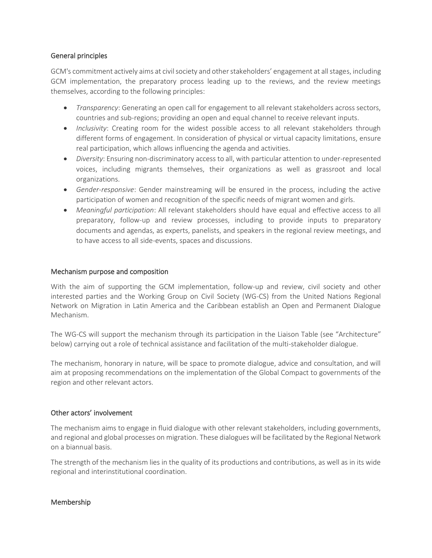## General principles

GCM's commitment actively aims at civil society and other stakeholders' engagement at all stages, including GCM implementation, the preparatory process leading up to the reviews, and the review meetings themselves, according to the following principles:

- *Transparency*: Generating an open call for engagement to all relevant stakeholders across sectors, countries and sub-regions; providing an open and equal channel to receive relevant inputs.
- *Inclusivity*: Creating room for the widest possible access to all relevant stakeholders through different forms of engagement. In consideration of physical or virtual capacity limitations, ensure real participation, which allows influencing the agenda and activities.
- *Diversity*: Ensuring non-discriminatory access to all, with particular attention to under-represented voices, including migrants themselves, their organizations as well as grassroot and local organizations.
- *Gender-responsive*: Gender mainstreaming will be ensured in the process, including the active participation of women and recognition of the specific needs of migrant women and girls.
- *Meaningful participation*: All relevant stakeholders should have equal and effective access to all preparatory, follow-up and review processes, including to provide inputs to preparatory documents and agendas, as experts, panelists, and speakers in the regional review meetings, and to have access to all side-events, spaces and discussions.

#### Mechanism purpose and composition

With the aim of supporting the GCM implementation, follow-up and review, civil society and other interested parties and the Working Group on Civil Society (WG-CS) from the United Nations Regional Network on Migration in Latin America and the Caribbean establish an Open and Permanent Dialogue Mechanism.

The WG-CS will support the mechanism through its participation in the Liaison Table (see "Architecture" below) carrying out a role of technical assistance and facilitation of the multi-stakeholder dialogue.

The mechanism, honorary in nature, will be space to promote dialogue, advice and consultation, and will aim at proposing recommendations on the implementation of the Global Compact to governments of the region and other relevant actors.

#### Other actors' involvement

The mechanism aims to engage in fluid dialogue with other relevant stakeholders, including governments, and regional and global processes on migration. These dialogues will be facilitated by the Regional Network on a biannual basis.

The strength of the mechanism lies in the quality of its productions and contributions, as well as in its wide regional and interinstitutional coordination.

#### Membership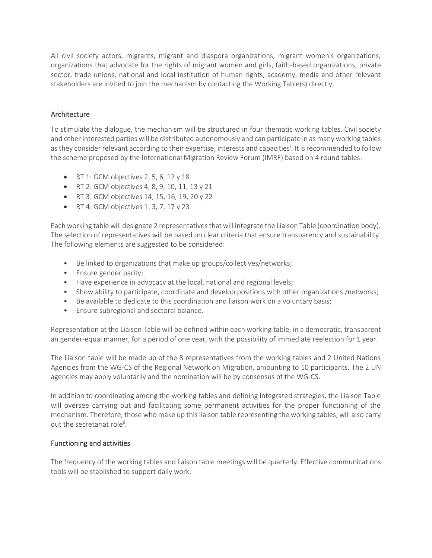All civil society actors, migrants, migrant and diaspora organizations, migrant women's organizations, organizations that advocate for the rights of migrant women and girls, faith-based organizations, private sector, trade unions, national and local institution of human rights, academy, media and other relevant stakeholders are invited to join the mechanism by contacting the Working Table(s) directly.

# Architecture

To stimulate the dialogue, the mechanism will be structured in four thematic working tables. Civil society and other interested parties will be distributed autonomously and can participate in as many working tables as they consider relevant according to their expertise, interests and capacities<sup>i</sup>. It is recommended to follow the scheme proposed by the International Migration Review Forum (IMRF) based on 4 round tables:

- RT 1: GCM objectives 2, 5, 6, 12 y 18
- RT 2: GCM objectives 4, 8, 9, 10, 11, 13 y 21
- RT 3: GCM objectives 14, 15, 16, 19, 20 y 22
- RT 4: GCM objectives  $1, 3, 7, 17$  y 23

Each working table will designate 2 representatives that will integrate the Liaison Table (coordination body). The selection of representatives will be based on clear criteria that ensure transparency and sustainability. The following elements are suggested to be considered:

- Be linked to organizations that make up groups/collectives/networks;
- Ensure gender parity;
- Have experience in advocacy at the local, national and regional levels;
- Show ability to participate, coordinate and develop positions with other organizations /networks;
- Be available to dedicate to this coordination and liaison work on a voluntary basis;
- Ensure subregional and sectoral balance.

Representation at the Liaison Table will be defined within each working table, in a democratic, transparent an gender-equal manner, for a period of one year, with the possibility of immediate reelection for 1 year.

The Liaison table will be made up of the 8 representatives from the working tables and 2 United Nations Agencies from the WG-CS of the Regional Network on Migration, amounting to 10 participants. The 2 UN agencies may apply voluntarily and the nomination will be by consensus of the WG-CS.

In addition to coordinating among the working tables and defining integrated strategies, the Liaison Table will oversee carrying out and facilitating some permanent activities for the proper functioning of the mechanism. Therefore, those who make up this liaison table representing the working tables, will also carry out the secretariat role<sup>ii</sup>.

# Functioning and activities

The frequency of the working tables and liaison table meetings will be quarterly. Effective communications tools will be stablished to support daily work.